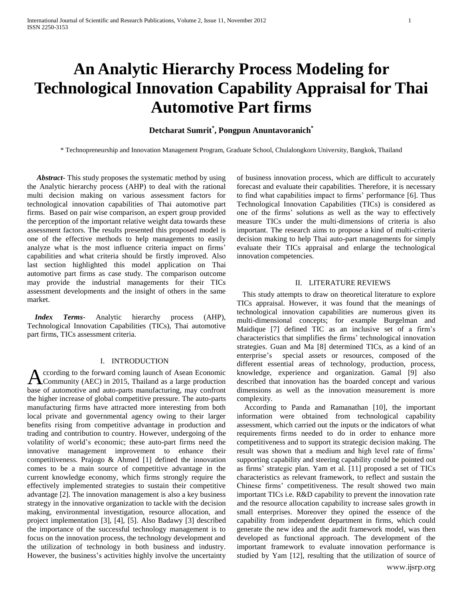# **An Analytic Hierarchy Process Modeling for Technological Innovation Capability Appraisal for Thai Automotive Part firms**

# **Detcharat Sumrit\* , Pongpun Anuntavoranich\***

\* Technopreneurship and Innovation Management Program, Graduate School, Chulalongkorn University, Bangkok, Thailand

 *Abstract***-** This study proposes the systematic method by using the Analytic hierarchy process (AHP) to deal with the rational multi decision making on various assessment factors for technological innovation capabilities of Thai automotive part firms. Based on pair wise comparison, an expert group provided the perception of the important relative weight data towards these assessment factors. The results presented this proposed model is one of the effective methods to help managements to easily analyze what is the most influence criteria impact on firms' capabilities and what criteria should be firstly improved. Also last section highlighted this model application on Thai automotive part firms as case study. The comparison outcome may provide the industrial managements for their TICs assessment developments and the insight of others in the same market.

 *Index Terms*- Analytic hierarchy process (AHP), Technological Innovation Capabilities (TICs), Thai automotive part firms, TICs assessment criteria.

# I. INTRODUCTION

ccording to the forward coming launch of Asean Economic According to the forward coming launch of Asean Economic<br>Community (AEC) in 2015, Thailand as a large production base of automotive and auto-parts manufacturing, may confront the higher increase of global competitive pressure. The auto-parts manufacturing firms have attracted more interesting from both local private and governmental agency owing to their larger benefits rising from competitive advantage in production and trading and contribution to country. However, undergoing of the volatility of world's economic; these auto-part firms need the innovative management improvement to enhance their competitiveness. Prajogo & Ahmed [1] defined the innovation comes to be a main source of competitive advantage in the current knowledge economy, which firms strongly require the effectively implemented strategies to sustain their competitive advantage [2]. The innovation management is also a key business strategy in the innovative organization to tackle with the decision making, environmental investigation, resource allocation, and project implementation [3], [4], [5]. Also Badawy [3] described the importance of the successful technology management is to focus on the innovation process, the technology development and the utilization of technology in both business and industry. However, the business's activities highly involve the uncertainty

of business innovation process, which are difficult to accurately forecast and evaluate their capabilities. Therefore, it is necessary to find what capabilities impact to firms' performance [6]. Thus Technological Innovation Capabilities (TICs) is considered as one of the firms' solutions as well as the way to effectively measure TICs under the multi-dimensions of criteria is also important. The research aims to propose a kind of multi-criteria decision making to help Thai auto-part managements for simply evaluate their TICs appraisal and enlarge the technological innovation competencies.

# II. LITERATURE REVIEWS

 This study attempts to draw on theoretical literature to explore TICs appraisal. However, it was found that the meanings of technological innovation capabilities are numerous given its multi-dimensional concepts; for example Burgelman and Maidique [7] defined TIC as an inclusive set of a firm's characteristics that simplifies the firms' technological innovation strategies. Guan and Ma [8] determined TICs, as a kind of an enterprise's special assets or resources, composed of the different essential areas of technology, production, process, knowledge, experience and organization. Gamal [9] also described that innovation has the boarded concept and various dimensions as well as the innovation measurement is more complexity.

 According to Panda and Ramanathan [10], the important information were obtained from technological capability assessment, which carried out the inputs or the indicators of what requirements firms needed to do in order to enhance more competitiveness and to support its strategic decision making. The result was shown that a medium and high level rate of firms' supporting capability and steering capability could be pointed out as firms' strategic plan. Yam et al. [11] proposed a set of TICs characteristics as relevant framework, to reflect and sustain the Chinese firms' competitiveness. The result showed two main important TICs i.e. R&D capability to prevent the innovation rate and the resource allocation capability to increase sales growth in small enterprises. Moreover they opined the essence of the capability from independent department in firms, which could generate the new idea and the audit framework model, was then developed as functional approach. The development of the important framework to evaluate innovation performance is studied by Yam [12], resulting that the utilization of source of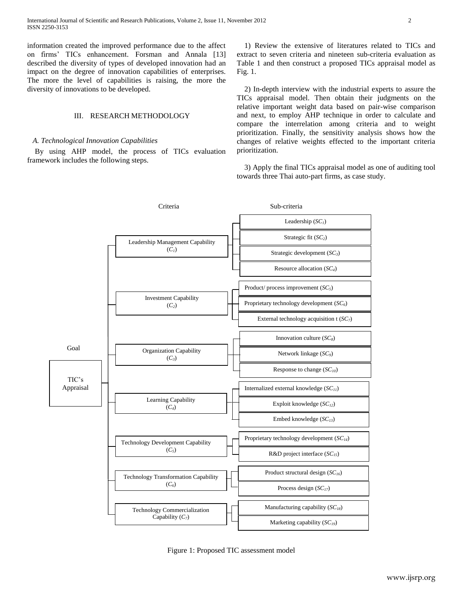information created the improved performance due to the affect on firms' TICs enhancement. Forsman and Annala [13] described the diversity of types of developed innovation had an impact on the degree of innovation capabilities of enterprises. The more the level of capabilities is raising, the more the diversity of innovations to be developed.

# III. RESEARCH METHODOLOGY

## *A. Technological Innovation Capabilities*

 By using AHP model, the process of TICs evaluation framework includes the following steps.

 1) Review the extensive of literatures related to TICs and extract to seven criteria and nineteen sub-criteria evaluation as Table 1 and then construct a proposed TICs appraisal model as Fig. 1.

 2) In-depth interview with the industrial experts to assure the TICs appraisal model. Then obtain their judgments on the relative important weight data based on pair-wise comparison and next, to employ AHP technique in order to calculate and compare the interrelation among criteria and to weight prioritization. Finally, the sensitivity analysis shows how the changes of relative weights effected to the important criteria prioritization.

 3) Apply the final TICs appraisal model as one of auditing tool towards three Thai auto-part firms, as case study.



Figure 1: Proposed TIC assessment model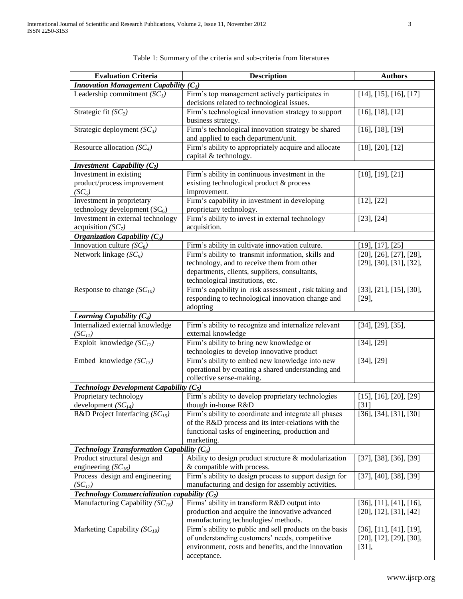| <b>Evaluation Criteria</b>                                        | <b>Description</b>                                                                                                                                                                    | <b>Authors</b>                                       |  |  |  |  |  |  |
|-------------------------------------------------------------------|---------------------------------------------------------------------------------------------------------------------------------------------------------------------------------------|------------------------------------------------------|--|--|--|--|--|--|
| <b>Innovation Management Capability (<math>C_1</math>)</b>        |                                                                                                                                                                                       |                                                      |  |  |  |  |  |  |
| Leadership commitment $(SC1)$                                     | Firm's top management actively participates in<br>decisions related to technological issues.                                                                                          | [14], [15], [16], [17]                               |  |  |  |  |  |  |
| Strategic fit $(SC_2)$                                            | Firm's technological innovation strategy to support<br>business strategy.                                                                                                             | [16], [18], [12]                                     |  |  |  |  |  |  |
| Strategic deployment $(SC_3)$                                     | Firm's technological innovation strategy be shared<br>and applied to each department/unit.                                                                                            | $[16]$ , $[18]$ , $[19]$                             |  |  |  |  |  |  |
| Resource allocation $(SC_4)$                                      | Firm's ability to appropriately acquire and allocate<br>capital & technology.                                                                                                         | $[18]$ , $[20]$ , $[12]$                             |  |  |  |  |  |  |
| Investment Capability $(C_2)$                                     |                                                                                                                                                                                       |                                                      |  |  |  |  |  |  |
| Investment in existing<br>product/process improvement<br>$(SC_5)$ | Firm's ability in continuous investment in the<br>existing technological product & process<br>improvement.                                                                            | [18], [19], [21]                                     |  |  |  |  |  |  |
| Investment in proprietary<br>technology development $(SC6)$       | Firm's capability in investment in developing<br>proprietary technology.                                                                                                              | [12], [22]                                           |  |  |  |  |  |  |
| Investment in external technology<br>acquisition $(SC_7)$         | Firm's ability to invest in external technology<br>acquisition.                                                                                                                       | $[23]$ , $[24]$                                      |  |  |  |  |  |  |
| Organization Capability $(C_3)$                                   |                                                                                                                                                                                       |                                                      |  |  |  |  |  |  |
| Innovation culture $(SC_8)$                                       | Firm's ability in cultivate innovation culture.                                                                                                                                       | [19], [17], [25]                                     |  |  |  |  |  |  |
| Network linkage $(SC_9)$                                          | Firm's ability to transmit information, skills and<br>technology, and to receive them from other<br>departments, clients, suppliers, consultants,<br>technological institutions, etc. | [20], [26], [27], [28],<br>[29], [30], [31], [32],   |  |  |  |  |  |  |
| Response to change $(SC_{10})$                                    | Firm's capability in risk assessment, risk taking and<br>responding to technological innovation change and<br>adopting                                                                | $[33]$ , $[21]$ , $[15]$ , $[30]$ ,<br>$[29]$ ,      |  |  |  |  |  |  |
| Learning Capability $(C_4)$                                       |                                                                                                                                                                                       |                                                      |  |  |  |  |  |  |
| Internalized external knowledge<br>$(SC_{11})$                    | Firm's ability to recognize and internalize relevant<br>external knowledge                                                                                                            | [34], [29], [35],                                    |  |  |  |  |  |  |
| Exploit knowledge $(SC_{12})$                                     | Firm's ability to bring new knowledge or<br>technologies to develop innovative product                                                                                                | [34], [29]                                           |  |  |  |  |  |  |
| Embed knowledge $(SC_{13})$                                       | Firm's ability to embed new knowledge into new<br>operational by creating a shared understanding and<br>collective sense-making.                                                      | [34], [29]                                           |  |  |  |  |  |  |
| Technology Development Capability $(C_5)$                         |                                                                                                                                                                                       |                                                      |  |  |  |  |  |  |
| Proprietary technology<br>development $(SC_{14})$                 | Firm's ability to develop proprietary technologies<br>though in-house R&D                                                                                                             | [15], [16], [20], [29]<br>[31]                       |  |  |  |  |  |  |
| R&D Project Interfacing $(SC_{15})$                               | Firm's ability to coordinate and integrate all phases<br>of the R&D process and its inter-relations with the<br>functional tasks of engineering, production and<br>marketing.         | $[36]$ , $[34]$ , $[31]$ , $[30]$                    |  |  |  |  |  |  |
| Technology Transformation Capability $(C_6)$                      |                                                                                                                                                                                       |                                                      |  |  |  |  |  |  |
| Product structural design and<br>engineering $(SC16)$             | Ability to design product structure $\&$ modularization<br>& compatible with process.                                                                                                 | [37], [38], [36], [39]                               |  |  |  |  |  |  |
| Process design and engineering<br>$(SC_{17})$                     | Firm's ability to design process to support design for<br>manufacturing and design for assembly activities.                                                                           | [37], [40], [38], [39]                               |  |  |  |  |  |  |
| Technology Commercialization capability $(C_7)$                   |                                                                                                                                                                                       |                                                      |  |  |  |  |  |  |
| Manufacturing Capability $(SC18)$                                 | Firms' ability in transform R&D output into<br>production and acquire the innovative advanced<br>manufacturing technologies/ methods.                                                 | $[36]$ , [11], [41], [16],<br>[20], [12], [31], [42] |  |  |  |  |  |  |
| Marketing Capability $(SC_{19})$                                  | Firm's ability to public and sell products on the basis<br>of understanding customers' needs, competitive<br>environment, costs and benefits, and the innovation<br>acceptance.       |                                                      |  |  |  |  |  |  |

# Table 1: Summary of the criteria and sub-criteria from literatures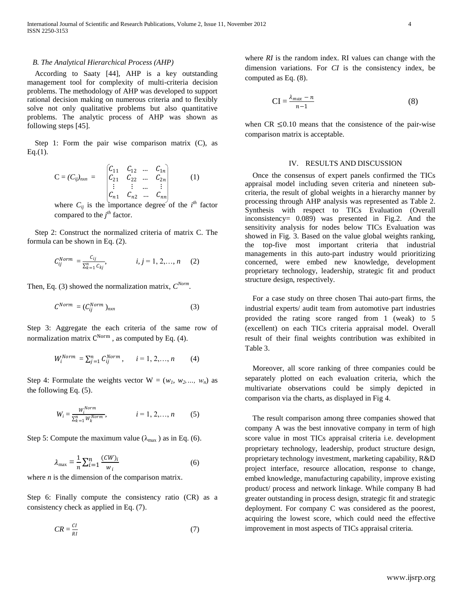# *B. The Analytical Hierarchical Process (AHP)*

 According to Saaty [44], AHP is a key outstanding management tool for complexity of multi-criteria decision problems. The methodology of AHP was developed to support rational decision making on numerous criteria and to flexibly solve not only qualitative problems but also quantitative problems. The analytic process of AHP was shown as following steps [45].

Step 1: Form the pair wise comparison matrix  $(C)$ , as  $Eq.(1).$ 

$$
C = (C_{ij})_{n \times n} = \begin{bmatrix} C_{11} & C_{12} & \dots & C_{1n} \\ C_{21} & C_{22} & \dots & C_{2n} \\ \vdots & \vdots & \dots & \vdots \\ C_{n1} & C_{n2} & \dots & C_{nn} \end{bmatrix}
$$
 (1)

where  $C_{ij}$  is the importance degree of the *i*<sup>th</sup> factor compared to the  $j<sup>th</sup>$  factor.

 Step 2: Construct the normalized criteria of matrix C. The formula can be shown in Eq. (2).

$$
C_{ij}^{Norm} = \frac{c_{ij}}{\sum_{k=1}^{n} c_{kj}}, \qquad i, j = 1, 2, ..., n \qquad (2)
$$

Then, Eq. (3) showed the normalization matrix,  $C^{Norm}$ .

$$
C^{Norm} = (C_{ij}^{Norm})_{n \times n}
$$
 (3)

Step 3: Aggregate the each criteria of the same row of normalization matrix  $C^{Norm}$ , as computed by Eq. (4).

$$
W_i^{Norm} = \sum_{j=1}^n C_{ij}^{Norm}, \qquad i = 1, 2, ..., n \tag{4}
$$

Step 4: Formulate the weights vector  $W = (w_1, w_2, ..., w_n)$  as the following Eq. (5).

$$
W_i = \frac{W_i^{Norm}}{\sum_{k=1}^{n} W_k^{Norm}}, \qquad i = 1, 2, ..., n \qquad (5)
$$

Step 5: Compute the maximum value ( $\lambda_{\text{max}}$ ) as in Eq. (6).

$$
\lambda_{\max} = \frac{1}{n} \sum_{i=1}^{n} \frac{(CW)_i}{w_i} \tag{6}
$$

where *n* is the dimension of the comparison matrix.

Step 6: Finally compute the consistency ratio (CR) as a consistency check as applied in Eq. (7).

$$
CR = \frac{Cl}{RI} \tag{7}
$$

where *RI* is the random index. RI values can change with the dimension variations. For *CI* is the consistency index, be computed as Eq. (8).

$$
CI = \frac{\lambda_{max} - n}{n - 1} \tag{8}
$$

when  $CR \leq 0.10$  means that the consistence of the pair-wise comparison matrix is acceptable.

# IV. RESULTS AND DISCUSSION

 Once the consensus of expert panels confirmed the TICs appraisal model including seven criteria and nineteen subcriteria, the result of global weights in a hierarchy manner by processing through AHP analysis was represented as Table 2. Synthesis with respect to TICs Evaluation (Overall inconsistency= 0.089) was presented in Fig.2. And the sensitivity analysis for nodes below TICs Evaluation was showed in Fig. 3. Based on the value global weights ranking, the top-five most important criteria that industrial managements in this auto-part industry would prioritizing concerned, were embed new knowledge, development proprietary technology, leadership, strategic fit and product structure design, respectively.

 For a case study on three chosen Thai auto-part firms, the industrial experts/ audit team from automotive part industries provided the rating score ranged from 1 (weak) to 5 (excellent) on each TICs criteria appraisal model. Overall result of their final weights contribution was exhibited in Table 3.

 Moreover, all score ranking of three companies could be separately plotted on each evaluation criteria, which the multivariate observations could be simply depicted in comparison via the charts, as displayed in Fig 4.

 The result comparison among three companies showed that company A was the best innovative company in term of high score value in most TICs appraisal criteria i.e. development proprietary technology, leadership, product structure design, proprietary technology investment, marketing capability, R&D project interface, resource allocation, response to change, embed knowledge, manufacturing capability, improve existing product/ process and network linkage. While company B had greater outstanding in process design, strategic fit and strategic deployment. For company C was considered as the poorest, acquiring the lowest score, which could need the effective improvement in most aspects of TICs appraisal criteria.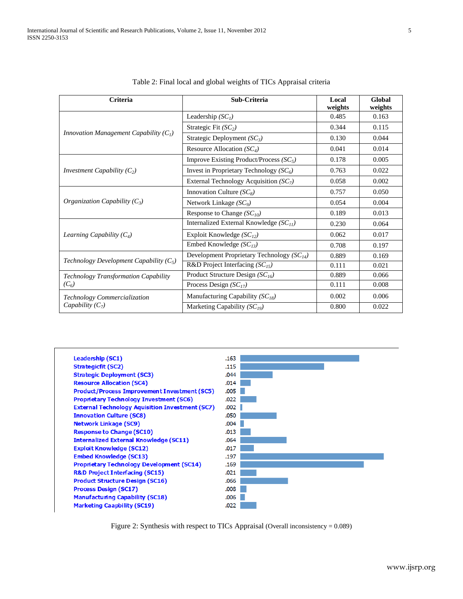| Criteria                                    | Sub-Criteria                                   | Local<br>weights | Global<br>weights |
|---------------------------------------------|------------------------------------------------|------------------|-------------------|
| Innovation Management Capability $(C_1)$    | Leadership $(SCl)$                             | 0.485            | 0.163             |
|                                             | Strategic Fit $(SC_2)$                         | 0.344            | 0.115             |
|                                             | Strategic Deployment $(SC_3)$                  | 0.130            | 0.044             |
|                                             | Resource Allocation $(SC_4)$                   | 0.041            | 0.014             |
| <i>Investment Capability</i> $(C_2)$        | Improve Existing Product/Process $(SC_5)$      | 0.178            | 0.005             |
|                                             | Invest in Proprietary Technology $(SC_6)$      | 0.763            | 0.022             |
|                                             | External Technology Acquisition $(SC_7)$       | 0.058            | 0.002             |
| <i>Organization Capability</i> $(C_3)$      | Innovation Culture $(SC_8)$                    | 0.757            | 0.050             |
|                                             | Network Linkage $(SC_0)$                       | 0.054            | 0.004             |
|                                             | Response to Change $(SC_{10})$                 | 0.189            | 0.013             |
| Learning Capability $(C_4)$                 | Internalized External Knowledge $(SC_{II})$    | 0.230            | 0.064             |
|                                             | Exploit Knowledge $(SC_{12})$                  | 0.062            | 0.017             |
|                                             | Embed Knowledge $(SC_{13})$                    | 0.708            | 0.197             |
| Technology Development Capability $(C_5)$   | Development Proprietary Technology $(SC_{14})$ | 0.889            | 0.169             |
|                                             | R&D Project Interfacing $(SC_{15})$            | 0.111            | 0.021             |
| <b>Technology Transformation Capability</b> | Product Structure Design $(SC_{16})$           | 0.889            | 0.066             |
| $(C_6)$                                     | Process Design $(SC_{17})$                     | 0.111            | 0.008             |
| Technology Commercialization                | Manufacturing Capability $(SC18)$              | 0.002            | 0.006             |
| Capability $(C_7)$                          | Marketing Capability $(SC_{19})$               | 0.800            | 0.022             |

# Table 2: Final local and global weights of TICs Appraisal criteria



Figure 2: Synthesis with respect to TICs Appraisal (Overall inconsistency = 0.089)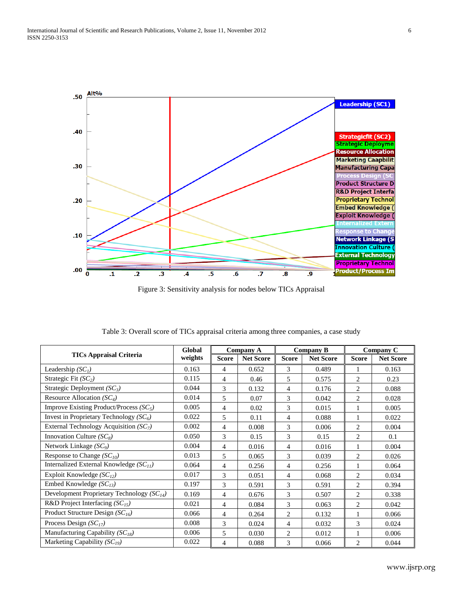

Figure 3: Sensitivity analysis for nodes below TICs Appraisal

| <b>TICs Appraisal Criteria</b>                 | Global  | Company A      |                  | <b>Company B</b> |                  | Company C      |                  |
|------------------------------------------------|---------|----------------|------------------|------------------|------------------|----------------|------------------|
|                                                | weights | <b>Score</b>   | <b>Net Score</b> | <b>Score</b>     | <b>Net Score</b> | <b>Score</b>   | <b>Net Score</b> |
| Leadership $(SC1)$                             | 0.163   | 4              | 0.652            | 3                | 0.489            |                | 0.163            |
| Strategic Fit $(SC_2)$                         | 0.115   | 4              | 0.46             | 5                | 0.575            | 2              | 0.23             |
| Strategic Deployment $(SC_3)$                  | 0.044   | 3              | 0.132            | 4                | 0.176            | $\overline{2}$ | 0.088            |
| Resource Allocation $(SC_4)$                   | 0.014   | 5              | 0.07             | 3                | 0.042            | $\overline{2}$ | 0.028            |
| Improve Existing Product/Process $(SC_5)$      | 0.005   | $\overline{4}$ | 0.02             | 3                | 0.015            | 1              | 0.005            |
| Invest in Proprietary Technology $(SC_6)$      | 0.022   | 5              | 0.11             | 4                | 0.088            |                | 0.022            |
| External Technology Acquisition $(SC_7)$       | 0.002   | 4              | 0.008            | 3                | 0.006            | $\overline{2}$ | 0.004            |
| Innovation Culture $(SC_8)$                    | 0.050   | 3              | 0.15             | 3                | 0.15             | $\overline{2}$ | 0.1              |
| Network Linkage $(SC_9)$                       | 0.004   | $\overline{4}$ | 0.016            | 4                | 0.016            |                | 0.004            |
| Response to Change $(SC_{10})$                 | 0.013   | 5              | 0.065            | 3                | 0.039            | $\overline{c}$ | 0.026            |
| Internalized External Knowledge $(SC_{11})$    | 0.064   | 4              | 0.256            | 4                | 0.256            | 1              | 0.064            |
| Exploit Knowledge $(SC_{12})$                  | 0.017   | 3              | 0.051            | 4                | 0.068            | $\overline{c}$ | 0.034            |
| Embed Knowledge $(SC_{13})$                    | 0.197   | 3              | 0.591            | 3                | 0.591            | $\overline{2}$ | 0.394            |
| Development Proprietary Technology $(SC_{14})$ | 0.169   | $\overline{4}$ | 0.676            | 3                | 0.507            | $\overline{2}$ | 0.338            |
| R&D Project Interfacing $(SC_{15})$            | 0.021   | 4              | 0.084            | 3                | 0.063            | $\overline{c}$ | 0.042            |
| Product Structure Design $(SC_{16})$           | 0.066   | 4              | 0.264            | $\overline{c}$   | 0.132            | 1              | 0.066            |
| Process Design $(SC_{17})$                     | 0.008   | 3              | 0.024            | 4                | 0.032            | 3              | 0.024            |
| Manufacturing Capability $(SC_{18})$           | 0.006   | 5              | 0.030            | $\overline{2}$   | 0.012            |                | 0.006            |
| Marketing Capability $(SC_{19})$               | 0.022   | 4              | 0.088            | 3                | 0.066            | $\overline{c}$ | 0.044            |

Table 3: Overall score of TICs appraisal criteria among three companies, a case study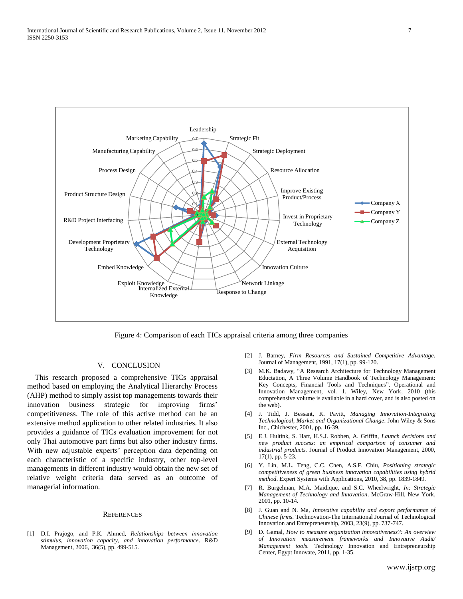

Figure 4: Comparison of each TICs appraisal criteria among three companies

# V. CONCLUSION

This research proposed a comprehensive TICs appraisal method based on employing the Analytical Hierarchy Process (AHP) method to simply assist top managements towards their innovation business strategic for improving firms' competitiveness. The role of this active method can be an extensive method application to other related industries. It also provides a guidance of TICs evaluation improvement for not only Thai automotive part firms but also other industry firms. With new adjustable experts' perception data depending on each characteristic of a specific industry, other top-level managements in different industry would obtain the new set of relative weight criteria data served as an outcome of managerial information.

#### **REFERENCES**

[1] D.I. Prajogo, and P.K. Ahmed, *Relationships between innovation stimulus, innovation capacity, and innovation performance*. R&D Management, 2006, 36(5), pp. 499-515.

- [2] J. Barney, *Firm Resources and Sustained Competitive Advantage.* Journal of Management, 1991, 17(1), pp. 99-120.
- [3] M.K. Badawy, "A Research Architecture for Technology Management Eductation, A Three Volume Handbook of Technology Management: Key Concepts, Financial Tools and Techniques". Operational and Innovation Management, vol. 1. Wiley, New York, 2010 (this comprehensive volume is available in a hard cover, and is also posted on the web).
- [4] J. Tidd, J. Bessant, K. Pavitt, *Managing Innovation-Integrating Technological, Market and Organizational Change*. John Wiley & Sons Inc., Chichester, 2001, pp. 16-39.
- [5] E.J. Hultink, S. Hart, H.S.J. Robben, A. Griffin, *Launch decisions and new product success: an empirical comparison of consumer and industrial products.* Journal of Product Innovation Management, 2000, 17(1), pp. 5-23.
- [6] Y. Lin, M.L. Teng, C.C. Chen, A.S.F. Chiu, *Positioning strategic competitiveness of green business innovation capabilities using hybrid method*. Expert Systems with Applications, 2010, 38, pp. 1839-1849.
- [7] R. Burgelman, M.A. Maidique, and S.C. Wheelwright, *In: Strategic Management of Technology and Innovation*. McGraw-Hill, New York, 2001, pp. 10-14.
- [8] J. Guan and N. Ma, *Innovative capability and export performance of Chinese firms*. Technovation-The International Journal of Technological Innovation and Entrepreneurship, 2003, 23(9), pp. 737-747.
- [9] D. Gamal*, How to measure organization innovativeness?: An overview of Innovation measurement frameworks and Innovative Audit/ Management tools.* Technology Innovation and Entrepreneurship Center, Egypt Innovate, 2011, pp. 1-35.